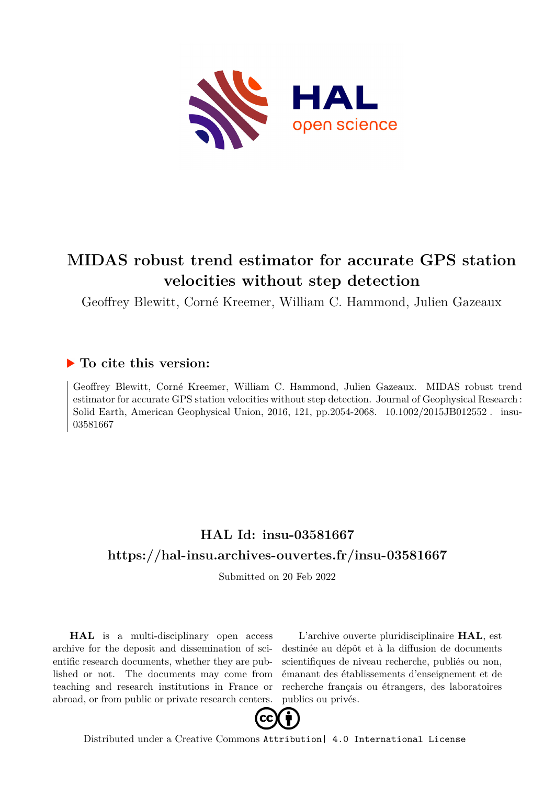

# **MIDAS robust trend estimator for accurate GPS station velocities without step detection**

Geoffrey Blewitt, Corné Kreemer, William C. Hammond, Julien Gazeaux

## **To cite this version:**

Geoffrey Blewitt, Corné Kreemer, William C. Hammond, Julien Gazeaux. MIDAS robust trend estimator for accurate GPS station velocities without step detection. Journal of Geophysical Research : Solid Earth, American Geophysical Union, 2016, 121, pp.2054-2068. 10.1002/2015JB012552. insu-03581667

## **HAL Id: insu-03581667 <https://hal-insu.archives-ouvertes.fr/insu-03581667>**

Submitted on 20 Feb 2022

**HAL** is a multi-disciplinary open access archive for the deposit and dissemination of scientific research documents, whether they are published or not. The documents may come from teaching and research institutions in France or abroad, or from public or private research centers.

L'archive ouverte pluridisciplinaire **HAL**, est destinée au dépôt et à la diffusion de documents scientifiques de niveau recherche, publiés ou non, émanant des établissements d'enseignement et de recherche français ou étrangers, des laboratoires publics ou privés.



Distributed under a Creative Commons [Attribution| 4.0 International License](http://creativecommons.org/licenses/by/4.0/)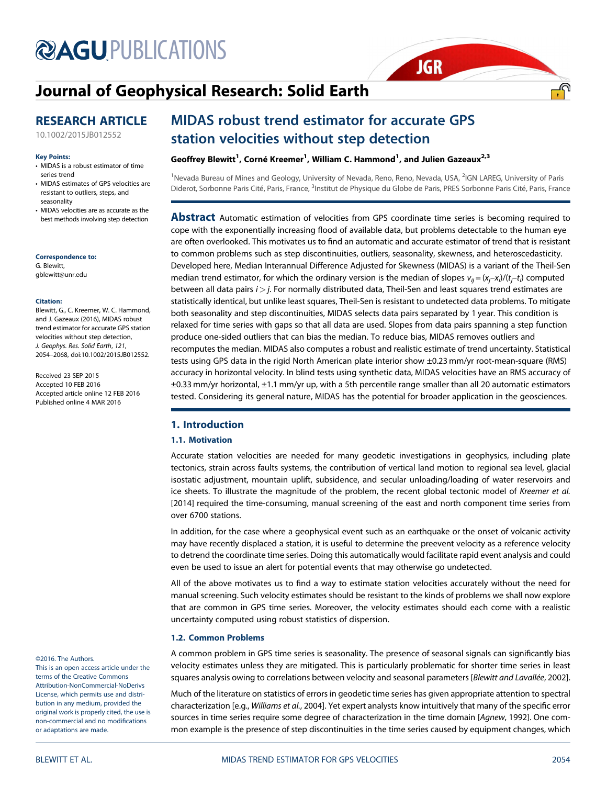# **@AGU[PUBLICATIONS](http://publications.agu.org/journals/)**

# [Journal of Geophysical Research: Solid Earth](http://onlinelibrary.wiley.com/journal/10.1002/(ISSN)2169-9356)

## RESEARCH ARTICLE

[10.1002/2015JB012552](http://dx.doi.org/10.1002/2015JB012552)

#### Key Points:

- MIDAS is a robust estimator of time series trend
- MIDAS estimates of GPS velocities are resistant to outliers, steps, and seasonality
- MIDAS velocities are as accurate as the best methods involving step detection

#### Correspondence to:

G. Blewitt, gblewitt@unr.edu

#### Citation:

Blewitt, G., C. Kreemer, W. C. Hammond, and J. Gazeaux (2016), MIDAS robust trend estimator for accurate GPS station velocities without step detection, J. Geophys. Res. Solid Earth, 121, 2054–2068, doi:10.1002/2015JB012552.

Received 23 SEP 2015 Accepted 10 FEB 2016 Accepted article online 12 FEB 2016 Published online 4 MAR 2016

©2016. The Authors.

This is an open access article under the terms of the Creative Commons Attribution-NonCommercial-NoDerivs License, which permits use and distribution in any medium, provided the original work is properly cited, the use is non-commercial and no modifications or adaptations are made.

## MIDAS robust trend estimator for accurate GPS station velocities without step detection

#### Geoffrey Blewitt $^1$ , Corné Kreemer $^1$ , William C. Hammond $^1$ , and Julien Gazeaux $^{2,3}$

<sup>1</sup> Nevada Bureau of Mines and Geology, University of Nevada, Reno, Reno, Nevada, USA, <sup>2</sup>IGN LAREG, University of Paris Diderot, Sorbonne Paris Cité, Paris, France, <sup>3</sup>Institut de Physique du Globe de Paris, PRES Sorbonne Paris Cité, Paris, France

**JGR** 

Abstract Automatic estimation of velocities from GPS coordinate time series is becoming required to cope with the exponentially increasing flood of available data, but problems detectable to the human eye are often overlooked. This motivates us to find an automatic and accurate estimator of trend that is resistant to common problems such as step discontinuities, outliers, seasonality, skewness, and heteroscedasticity. Developed here, Median Interannual Difference Adjusted for Skewness (MIDAS) is a variant of the Theil-Sen median trend estimator, for which the ordinary version is the median of slopes  $v_{ij} = (x_j - x_i)/(t_j - t_i)$  computed between all data pairs  $i > j$ . For normally distributed data, Theil-Sen and least squares trend estimates are statistically identical, but unlike least squares, Theil-Sen is resistant to undetected data problems. To mitigate both seasonality and step discontinuities, MIDAS selects data pairs separated by 1 year. This condition is relaxed for time series with gaps so that all data are used. Slopes from data pairs spanning a step function produce one-sided outliers that can bias the median. To reduce bias, MIDAS removes outliers and recomputes the median. MIDAS also computes a robust and realistic estimate of trend uncertainty. Statistical tests using GPS data in the rigid North American plate interior show ±0.23 mm/yr root-mean-square (RMS) accuracy in horizontal velocity. In blind tests using synthetic data, MIDAS velocities have an RMS accuracy of ±0.33 mm/yr horizontal, ±1.1 mm/yr up, with a 5th percentile range smaller than all 20 automatic estimators tested. Considering its general nature, MIDAS has the potential for broader application in the geosciences.

### 1. Introduction

#### 1.1. Motivation

Accurate station velocities are needed for many geodetic investigations in geophysics, including plate tectonics, strain across faults systems, the contribution of vertical land motion to regional sea level, glacial isostatic adjustment, mountain uplift, subsidence, and secular unloading/loading of water reservoirs and ice sheets. To illustrate the magnitude of the problem, the recent global tectonic model of Kreemer et al. [2014] required the time-consuming, manual screening of the east and north component time series from over 6700 stations.

In addition, for the case where a geophysical event such as an earthquake or the onset of volcanic activity may have recently displaced a station, it is useful to determine the preevent velocity as a reference velocity to detrend the coordinate time series. Doing this automatically would facilitate rapid event analysis and could even be used to issue an alert for potential events that may otherwise go undetected.

All of the above motivates us to find a way to estimate station velocities accurately without the need for manual screening. Such velocity estimates should be resistant to the kinds of problems we shall now explore that are common in GPS time series. Moreover, the velocity estimates should each come with a realistic uncertainty computed using robust statistics of dispersion.

#### 1.2. Common Problems

A common problem in GPS time series is seasonality. The presence of seasonal signals can significantly bias velocity estimates unless they are mitigated. This is particularly problematic for shorter time series in least squares analysis owing to correlations between velocity and seasonal parameters [Blewitt and Lavallée, 2002].

Much of the literature on statistics of errors in geodetic time series has given appropriate attention to spectral characterization [e.g., Williams et al., 2004]. Yet expert analysts know intuitively that many of the specific error sources in time series require some degree of characterization in the time domain [Agnew, 1992]. One common example is the presence of step discontinuities in the time series caused by equipment changes, which

<u>.എ</u>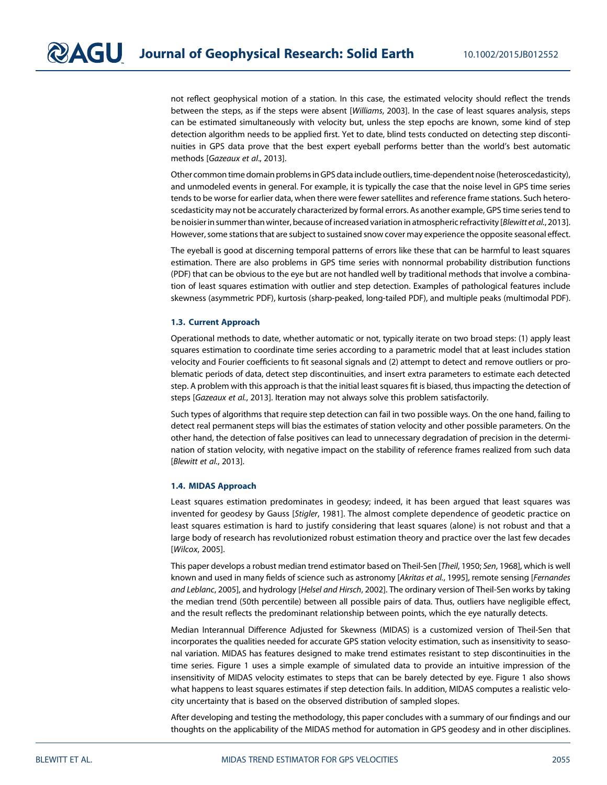not reflect geophysical motion of a station. In this case, the estimated velocity should reflect the trends between the steps, as if the steps were absent [Williams, 2003]. In the case of least squares analysis, steps can be estimated simultaneously with velocity but, unless the step epochs are known, some kind of step detection algorithm needs to be applied first. Yet to date, blind tests conducted on detecting step discontinuities in GPS data prove that the best expert eyeball performs better than the world's best automatic methods [Gazeaux et al., 2013].

Other common time domain problems in GPS data include outliers, time-dependent noise(heteroscedasticity), and unmodeled events in general. For example, it is typically the case that the noise level in GPS time series tends to be worse for earlier data, when there were fewer satellites and reference frame stations. Such heteroscedasticity may not be accurately characterized by formal errors. As another example, GPS time series tend to be noisier in summer than winter, because of increased variation in atmospheric refractivity [Blewitt et al., 2013]. However, some stations that are subject to sustained snow cover may experience the opposite seasonal effect.

The eyeball is good at discerning temporal patterns of errors like these that can be harmful to least squares estimation. There are also problems in GPS time series with nonnormal probability distribution functions (PDF) that can be obvious to the eye but are not handled well by traditional methods that involve a combination of least squares estimation with outlier and step detection. Examples of pathological features include skewness (asymmetric PDF), kurtosis (sharp-peaked, long-tailed PDF), and multiple peaks (multimodal PDF).

#### 1.3. Current Approach

Operational methods to date, whether automatic or not, typically iterate on two broad steps: (1) apply least squares estimation to coordinate time series according to a parametric model that at least includes station velocity and Fourier coefficients to fit seasonal signals and (2) attempt to detect and remove outliers or problematic periods of data, detect step discontinuities, and insert extra parameters to estimate each detected step. A problem with this approach is that the initial least squares fit is biased, thus impacting the detection of steps [Gazeaux et al., 2013]. Iteration may not always solve this problem satisfactorily.

Such types of algorithms that require step detection can fail in two possible ways. On the one hand, failing to detect real permanent steps will bias the estimates of station velocity and other possible parameters. On the other hand, the detection of false positives can lead to unnecessary degradation of precision in the determination of station velocity, with negative impact on the stability of reference frames realized from such data [Blewitt et al., 2013].

#### 1.4. MIDAS Approach

Least squares estimation predominates in geodesy; indeed, it has been argued that least squares was invented for geodesy by Gauss [Stigler, 1981]. The almost complete dependence of geodetic practice on least squares estimation is hard to justify considering that least squares (alone) is not robust and that a large body of research has revolutionized robust estimation theory and practice over the last few decades [Wilcox, 2005].

This paper develops a robust median trend estimator based on Theil-Sen [Theil, 1950; Sen, 1968], which is well known and used in many fields of science such as astronomy [Akritas et al., 1995], remote sensing [Fernandes and Leblanc, 2005], and hydrology [Helsel and Hirsch, 2002]. The ordinary version of Theil-Sen works by taking the median trend (50th percentile) between all possible pairs of data. Thus, outliers have negligible effect, and the result reflects the predominant relationship between points, which the eye naturally detects.

Median Interannual Difference Adjusted for Skewness (MIDAS) is a customized version of Theil-Sen that incorporates the qualities needed for accurate GPS station velocity estimation, such as insensitivity to seasonal variation. MIDAS has features designed to make trend estimates resistant to step discontinuities in the time series. Figure 1 uses a simple example of simulated data to provide an intuitive impression of the insensitivity of MIDAS velocity estimates to steps that can be barely detected by eye. Figure 1 also shows what happens to least squares estimates if step detection fails. In addition, MIDAS computes a realistic velocity uncertainty that is based on the observed distribution of sampled slopes.

After developing and testing the methodology, this paper concludes with a summary of our findings and our thoughts on the applicability of the MIDAS method for automation in GPS geodesy and in other disciplines.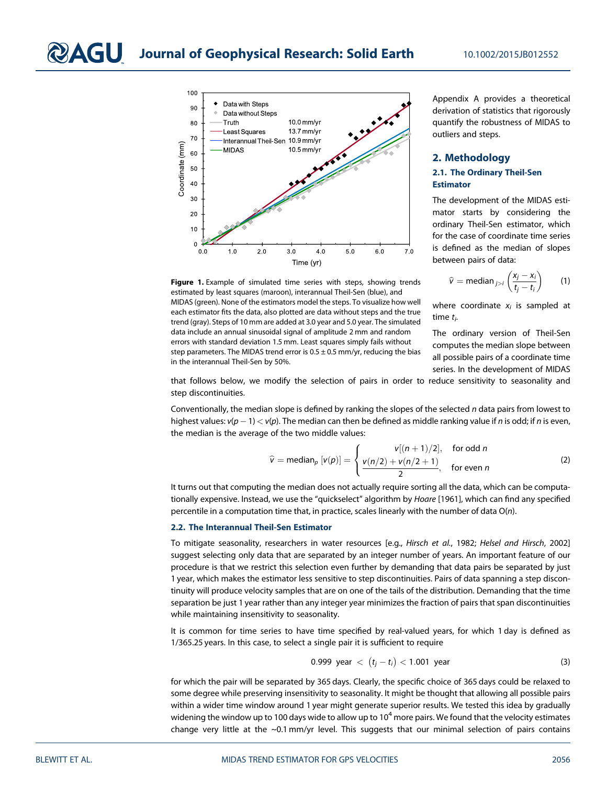

Appendix A provides a theoretical derivation of statistics that rigorously quantify the robustness of MIDAS to outliers and steps.

#### 2. Methodology 2.1. The Ordinary Theil-Sen Estimator

The development of the MIDAS estimator starts by considering the ordinary Theil-Sen estimator, which for the case of coordinate time series is defined as the median of slopes between pairs of data:

$$
\widehat{v} = \text{median}_{j>i} \left( \frac{x_j - x_i}{t_j - t_i} \right) \qquad (1)
$$

where coordinate  $x_i$  is sampled at time  $t_i$ . .

The ordinary version of Theil-Sen computes the median slope between all possible pairs of a coordinate time series. In the development of MIDAS

Figure 1. Example of simulated time series with steps, showing trends estimated by least squares (maroon), interannual Theil-Sen (blue), and MIDAS (green). None of the estimators model the steps. To visualize how well each estimator fits the data, also plotted are data without steps and the true trend (gray). Steps of 10 mm are added at 3.0 year and 5.0 year. The simulated data include an annual sinusoidal signal of amplitude 2 mm and random errors with standard deviation 1.5 mm. Least squares simply fails without step parameters. The MIDAS trend error is  $0.5 \pm 0.5$  mm/yr, reducing the bias in the interannual Theil-Sen by 50%.

that follows below, we modify the selection of pairs in order to reduce sensitivity to seasonality and step discontinuities.

Conventionally, the median slope is defined by ranking the slopes of the selected n data pairs from lowest to highest values:  $v(p-1) < v(p)$ . The median can then be defined as middle ranking value if n is odd; if n is even,<br>the modian is the average of the two middle values: the median is the average of the two middle values:

$$
\widehat{v} = \text{median}_p \left[ v(p) \right] = \begin{cases} v[(n+1)/2], & \text{for odd } n \\ \frac{v(n/2) + v(n/2+1)}{2}, & \text{for even } n \end{cases} \tag{2}
$$

It turns out that computing the median does not actually require sorting all the data, which can be computationally expensive. Instead, we use the "quickselect" algorithm by Hoare [1961], which can find any specified percentile in a computation time that, in practice, scales linearly with the number of data O(n).

#### 2.2. The Interannual Theil-Sen Estimator

To mitigate seasonality, researchers in water resources [e.g., Hirsch et al., 1982; Helsel and Hirsch, 2002] suggest selecting only data that are separated by an integer number of years. An important feature of our procedure is that we restrict this selection even further by demanding that data pairs be separated by just 1 year, which makes the estimator less sensitive to step discontinuities. Pairs of data spanning a step discontinuity will produce velocity samples that are on one of the tails of the distribution. Demanding that the time separation be just 1 year rather than any integer year minimizes the fraction of pairs that span discontinuities while maintaining insensitivity to seasonality.

It is common for time series to have time specified by real-valued years, for which 1 day is defined as 1/365.25 years. In this case, to select a single pair it is sufficient to require

0.999 year 
$$
<(t_j - t_i) < 1.001
$$
 year (3)

for which the pair will be separated by 365 days. Clearly, the specific choice of 365 days could be relaxed to some degree while preserving insensitivity to seasonality. It might be thought that allowing all possible pairs within a wider time window around 1 year might generate superior results. We tested this idea by gradually widening the window up to 100 days wide to allow up to  $10<sup>4</sup>$  more pairs. We found that the velocity estimates change very little at the ~0.1 mm/yr level. This suggests that our minimal selection of pairs contains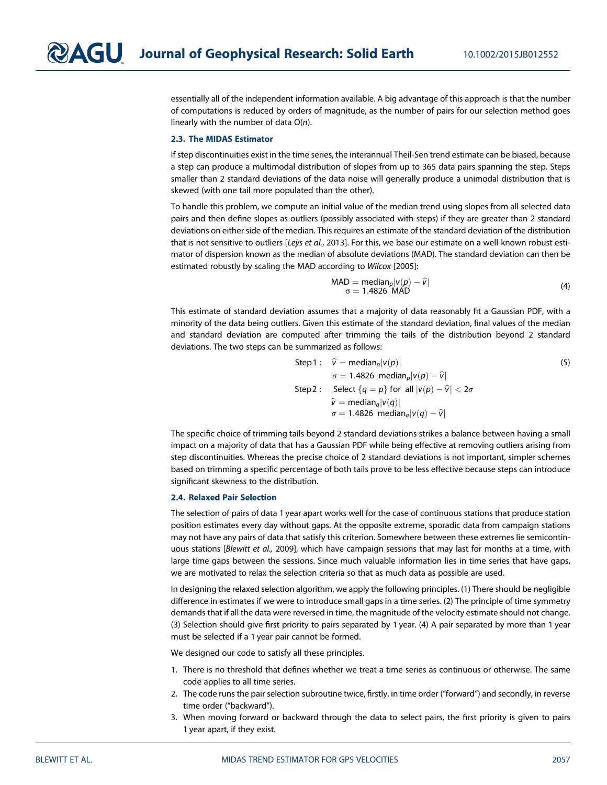essentially all of the independent information available. A big advantage of this approach is that the number of computations is reduced by orders of magnitude, as the number of pairs for our selection method goes linearly with the number of data  $O(n)$ .

#### 2.3. The MIDAS Estimator

If step discontinuities exist in the time series, the interannual Theil-Sen trend estimate can be biased, because a step can produce a multimodal distribution of slopes from up to 365 data pairs spanning the step. Steps smaller than 2 standard deviations of the data noise will generally produce a unimodal distribution that is skewed (with one tail more populated than the other).

To handle this problem, we compute an initial value of the median trend using slopes from all selected data pairs and then define slopes as outliers (possibly associated with steps) if they are greater than 2 standard deviations on either side of the median. This requires an estimate of the standard deviation of the distribution that is not sensitive to outliers [Leys et al., 2013]. For this, we base our estimate on a well-known robust estimator of dispersion known as the median of absolute deviations (MAD). The standard deviation can then be estimated robustly by scaling the MAD according to Wilcox [2005]:

$$
MAD = median_p |v(p) - \hat{v}|
$$
  
\n
$$
\sigma = 1.4826 \text{ MAD}
$$
 (4)

This estimate of standard deviation assumes that a majority of data reasonably fit a Gaussian PDF, with a minority of the data being outliers. Given this estimate of the standard deviation, final values of the median and standard deviation are computed after trimming the tails of the distribution beyond 2 standard deviations. The two steps can be summarized as follows:

Step 1: 
$$
\hat{v}
$$
 = median<sub>p</sub>| $v(p)$ |  
\n $\sigma$  = 1.4826 median<sub>p</sub>| $v(p) - \hat{v}$ |  
\nStep 2: Select { $q = p$ } for all | $v(p) - \hat{v}$ | < 2 $\sigma$   
\n $\hat{v}$  = median<sub>q</sub>| $v(q)$ |  
\n $\sigma$  = 1.4826 median<sub>q</sub>| $v(q) - \hat{v}$ |

The specific choice of trimming tails beyond 2 standard deviations strikes a balance between having a small impact on a majority of data that has a Gaussian PDF while being effective at removing outliers arising from step discontinuities. Whereas the precise choice of 2 standard deviations is not important, simpler schemes based on trimming a specific percentage of both tails prove to be less effective because steps can introduce significant skewness to the distribution.

#### 2.4. Relaxed Pair Selection

The selection of pairs of data 1 year apart works well for the case of continuous stations that produce station position estimates every day without gaps. At the opposite extreme, sporadic data from campaign stations may not have any pairs of data that satisfy this criterion. Somewhere between these extremes lie semicontinuous stations [Blewitt et al., 2009], which have campaign sessions that may last for months at a time, with large time gaps between the sessions. Since much valuable information lies in time series that have gaps, we are motivated to relax the selection criteria so that as much data as possible are used.

In designing the relaxed selection algorithm, we apply the following principles. (1) There should be negligible difference in estimates if we were to introduce small gaps in a time series. (2) The principle of time symmetry demands that if all the data were reversed in time, the magnitude of the velocity estimate should not change. (3) Selection should give first priority to pairs separated by 1 year. (4) A pair separated by more than 1 year must be selected if a 1 year pair cannot be formed.

We designed our code to satisfy all these principles.

- 1. There is no threshold that defines whether we treat a time series as continuous or otherwise. The same code applies to all time series.
- 2. The code runs the pair selection subroutine twice, firstly, in time order ("forward") and secondly, in reverse time order ("backward").
- 3. When moving forward or backward through the data to select pairs, the first priority is given to pairs 1 year apart, if they exist.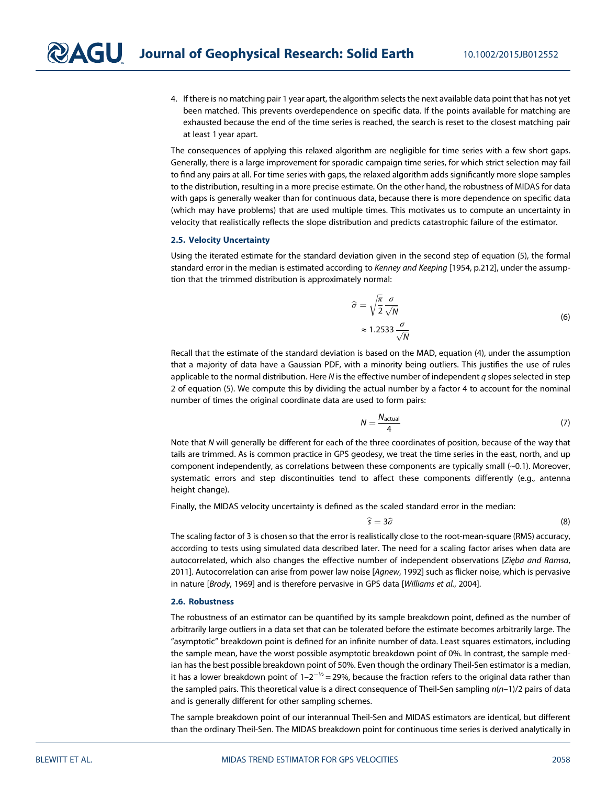4. If there is no matching pair 1 year apart, the algorithm selects the next available data point that has not yet been matched. This prevents overdependence on specific data. If the points available for matching are exhausted because the end of the time series is reached, the search is reset to the closest matching pair at least 1 year apart.

The consequences of applying this relaxed algorithm are negligible for time series with a few short gaps. Generally, there is a large improvement for sporadic campaign time series, for which strict selection may fail to find any pairs at all. For time series with gaps, the relaxed algorithm adds significantly more slope samples to the distribution, resulting in a more precise estimate. On the other hand, the robustness of MIDAS for data with gaps is generally weaker than for continuous data, because there is more dependence on specific data (which may have problems) that are used multiple times. This motivates us to compute an uncertainty in velocity that realistically reflects the slope distribution and predicts catastrophic failure of the estimator.

#### 2.5. Velocity Uncertainty

Using the iterated estimate for the standard deviation given in the second step of equation (5), the formal standard error in the median is estimated according to Kenney and Keeping [1954, p.212], under the assumption that the trimmed distribution is approximately normal:

$$
\hat{\sigma} = \sqrt{\frac{\pi}{2}} \frac{\sigma}{\sqrt{N}}
$$
  

$$
\approx 1.2533 \frac{\sigma}{\sqrt{N}}
$$
 (6)

Recall that the estimate of the standard deviation is based on the MAD, equation (4), under the assumption that a majority of data have a Gaussian PDF, with a minority being outliers. This justifies the use of rules applicable to the normal distribution. Here N is the effective number of independent  $q$  slopes selected in step 2 of equation (5). We compute this by dividing the actual number by a factor 4 to account for the nominal number of times the original coordinate data are used to form pairs:

$$
N = \frac{N_{\text{actual}}}{4} \tag{7}
$$

Note that N will generally be different for each of the three coordinates of position, because of the way that tails are trimmed. As is common practice in GPS geodesy, we treat the time series in the east, north, and up component independently, as correlations between these components are typically small  $(\sim 0.1)$ . Moreover, systematic errors and step discontinuities tend to affect these components differently (e.g., antenna height change).

Finally, the MIDAS velocity uncertainty is defined as the scaled standard error in the median:

$$
=3\widehat{\sigma}
$$
 (8)

(8)<br>The scaling factor of 3 is chosen so that the error is realistically close to the root-mean-square (RMS) accuracy, according to tests using simulated data described later. The need for a scaling factor arises when data are autocorrelated, which also changes the effective number of independent observations [Zięba and Ramsa, 2011]. Autocorrelation can arise from power law noise [Agnew, 1992] such as flicker noise, which is pervasive in nature [Brody, 1969] and is therefore pervasive in GPS data [Williams et al., 2004].

#### 2.6. Robustness

The robustness of an estimator can be quantified by its sample breakdown point, defined as the number of arbitrarily large outliers in a data set that can be tolerated before the estimate becomes arbitrarily large. The "asymptotic" breakdown point is defined for an infinite number of data. Least squares estimators, including the sample mean, have the worst possible asymptotic breakdown point of 0%. In contrast, the sample median has the best possible breakdown point of 50%. Even though the ordinary Theil-Sen estimator is a median, it has a lower breakdown point of 1–2 $^{-\nu_\text{2}}$  = 29%, because the fraction refers to the original data rather than the sampled pairs. This theoretical value is a direct consequence of Theil-Sen sampling  $n(n-1)/2$  pairs of data and is generally different for other sampling schemes.

The sample breakdown point of our interannual Theil-Sen and MIDAS estimators are identical, but different than the ordinary Theil-Sen. The MIDAS breakdown point for continuous time series is derived analytically in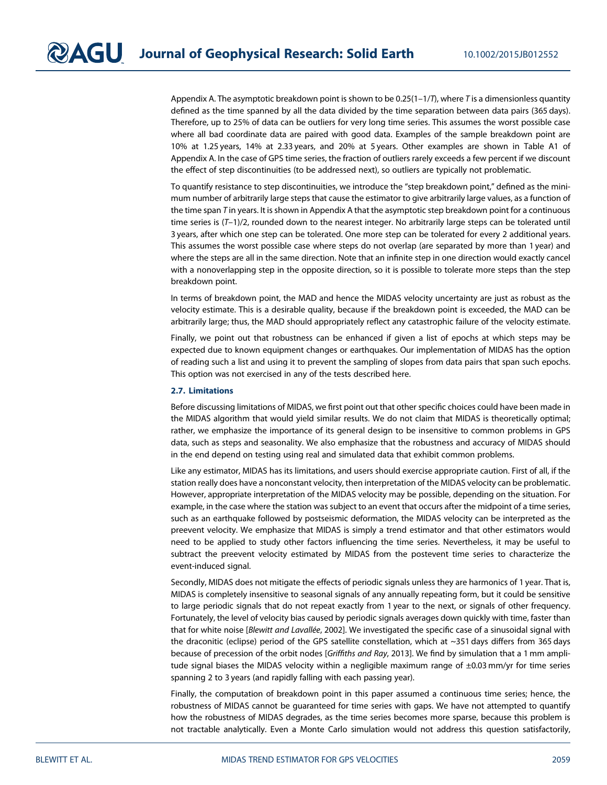Appendix A. The asymptotic breakdown point is shown to be 0.25(1-1/T), where T is a dimensionless quantity defined as the time spanned by all the data divided by the time separation between data pairs (365 days). Therefore, up to 25% of data can be outliers for very long time series. This assumes the worst possible case where all bad coordinate data are paired with good data. Examples of the sample breakdown point are 10% at 1.25 years, 14% at 2.33 years, and 20% at 5 years. Other examples are shown in Table A1 of Appendix A. In the case of GPS time series, the fraction of outliers rarely exceeds a few percent if we discount the effect of step discontinuities (to be addressed next), so outliers are typically not problematic.

To quantify resistance to step discontinuities, we introduce the "step breakdown point," defined as the minimum number of arbitrarily large steps that cause the estimator to give arbitrarily large values, as a function of the time span T in years. It is shown in Appendix A that the asymptotic step breakdown point for a continuous time series is (T–1)/2, rounded down to the nearest integer. No arbitrarily large steps can be tolerated until 3 years, after which one step can be tolerated. One more step can be tolerated for every 2 additional years. This assumes the worst possible case where steps do not overlap (are separated by more than 1 year) and where the steps are all in the same direction. Note that an infinite step in one direction would exactly cancel with a nonoverlapping step in the opposite direction, so it is possible to tolerate more steps than the step breakdown point.

In terms of breakdown point, the MAD and hence the MIDAS velocity uncertainty are just as robust as the velocity estimate. This is a desirable quality, because if the breakdown point is exceeded, the MAD can be arbitrarily large; thus, the MAD should appropriately reflect any catastrophic failure of the velocity estimate.

Finally, we point out that robustness can be enhanced if given a list of epochs at which steps may be expected due to known equipment changes or earthquakes. Our implementation of MIDAS has the option of reading such a list and using it to prevent the sampling of slopes from data pairs that span such epochs. This option was not exercised in any of the tests described here.

#### 2.7. Limitations

Before discussing limitations of MIDAS, we first point out that other specific choices could have been made in the MIDAS algorithm that would yield similar results. We do not claim that MIDAS is theoretically optimal; rather, we emphasize the importance of its general design to be insensitive to common problems in GPS data, such as steps and seasonality. We also emphasize that the robustness and accuracy of MIDAS should in the end depend on testing using real and simulated data that exhibit common problems.

Like any estimator, MIDAS has its limitations, and users should exercise appropriate caution. First of all, if the station really does have a nonconstant velocity, then interpretation of the MIDAS velocity can be problematic. However, appropriate interpretation of the MIDAS velocity may be possible, depending on the situation. For example, in the case where the station was subject to an event that occurs after the midpoint of a time series, such as an earthquake followed by postseismic deformation, the MIDAS velocity can be interpreted as the preevent velocity. We emphasize that MIDAS is simply a trend estimator and that other estimators would need to be applied to study other factors influencing the time series. Nevertheless, it may be useful to subtract the preevent velocity estimated by MIDAS from the postevent time series to characterize the event-induced signal.

Secondly, MIDAS does not mitigate the effects of periodic signals unless they are harmonics of 1 year. That is, MIDAS is completely insensitive to seasonal signals of any annually repeating form, but it could be sensitive to large periodic signals that do not repeat exactly from 1 year to the next, or signals of other frequency. Fortunately, the level of velocity bias caused by periodic signals averages down quickly with time, faster than that for white noise [Blewitt and Lavallée, 2002]. We investigated the specific case of a sinusoidal signal with the draconitic (eclipse) period of the GPS satellite constellation, which at ~351 days differs from 365 days because of precession of the orbit nodes [Griffiths and Ray, 2013]. We find by simulation that a 1 mm amplitude signal biases the MIDAS velocity within a negligible maximum range of ±0.03 mm/yr for time series spanning 2 to 3 years (and rapidly falling with each passing year).

Finally, the computation of breakdown point in this paper assumed a continuous time series; hence, the robustness of MIDAS cannot be guaranteed for time series with gaps. We have not attempted to quantify how the robustness of MIDAS degrades, as the time series becomes more sparse, because this problem is not tractable analytically. Even a Monte Carlo simulation would not address this question satisfactorily,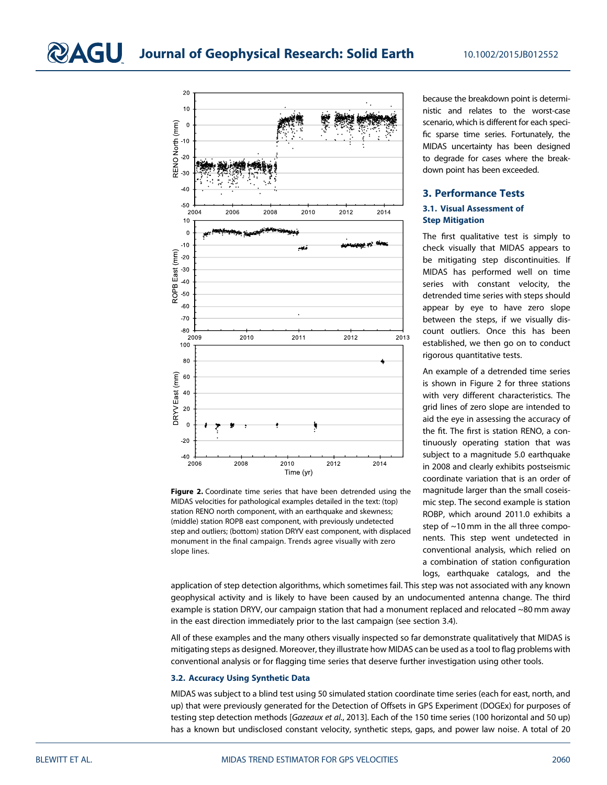

Figure 2. Coordinate time series that have been detrended using the MIDAS velocities for pathological examples detailed in the text: (top) station RENO north component, with an earthquake and skewness; (middle) station ROPB east component, with previously undetected step and outliers; (bottom) station DRYV east component, with displaced monument in the final campaign. Trends agree visually with zero slope lines.

because the breakdown point is deterministic and relates to the worst-case scenario, which is different for each specific sparse time series. Fortunately, the MIDAS uncertainty has been designed to degrade for cases where the breakdown point has been exceeded.

#### 3. Performance Tests 3.1. Visual Assessment of Step Mitigation

The first qualitative test is simply to check visually that MIDAS appears to be mitigating step discontinuities. If MIDAS has performed well on time series with constant velocity, the detrended time series with steps should appear by eye to have zero slope between the steps, if we visually discount outliers. Once this has been established, we then go on to conduct rigorous quantitative tests.

An example of a detrended time series is shown in Figure 2 for three stations with very different characteristics. The grid lines of zero slope are intended to aid the eye in assessing the accuracy of the fit. The first is station RENO, a continuously operating station that was subject to a magnitude 5.0 earthquake in 2008 and clearly exhibits postseismic coordinate variation that is an order of magnitude larger than the small coseismic step. The second example is station ROBP, which around 2011.0 exhibits a step of ~10 mm in the all three components. This step went undetected in conventional analysis, which relied on a combination of station configuration logs, earthquake catalogs, and the

application of step detection algorithms, which sometimes fail. This step was not associated with any known geophysical activity and is likely to have been caused by an undocumented antenna change. The third example is station DRYV, our campaign station that had a monument replaced and relocated ~80 mm away in the east direction immediately prior to the last campaign (see section 3.4).

All of these examples and the many others visually inspected so far demonstrate qualitatively that MIDAS is mitigating steps as designed. Moreover, they illustrate how MIDAS can be used as a tool to flag problems with conventional analysis or for flagging time series that deserve further investigation using other tools.

#### 3.2. Accuracy Using Synthetic Data

MIDAS was subject to a blind test using 50 simulated station coordinate time series (each for east, north, and up) that were previously generated for the Detection of Offsets in GPS Experiment (DOGEx) for purposes of testing step detection methods [Gazeaux et al., 2013]. Each of the 150 time series (100 horizontal and 50 up) has a known but undisclosed constant velocity, synthetic steps, gaps, and power law noise. A total of 20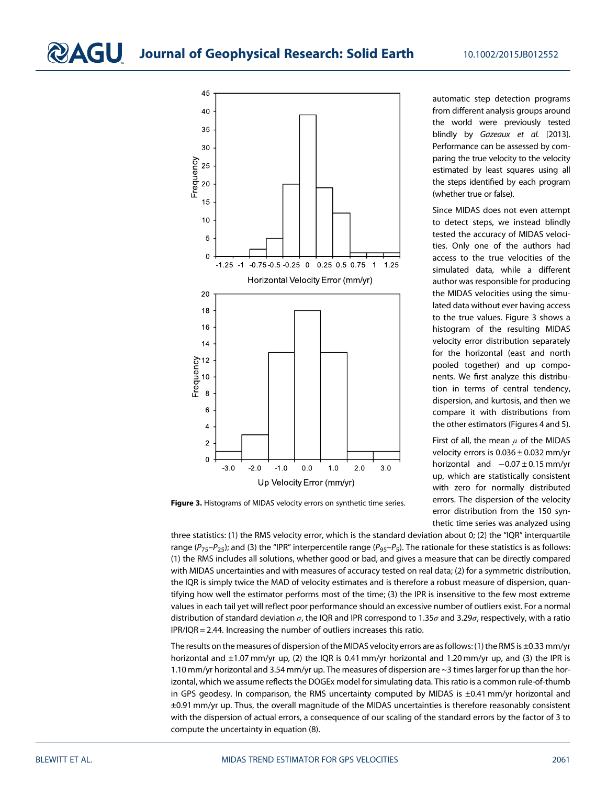

Figure 3. Histograms of MIDAS velocity errors on synthetic time series.

automatic step detection programs from different analysis groups around the world were previously tested blindly by Gazeaux et al. [2013]. Performance can be assessed by comparing the true velocity to the velocity estimated by least squares using all the steps identified by each program (whether true or false).

Since MIDAS does not even attempt to detect steps, we instead blindly tested the accuracy of MIDAS velocities. Only one of the authors had access to the true velocities of the simulated data, while a different author was responsible for producing the MIDAS velocities using the simulated data without ever having access to the true values. Figure 3 shows a histogram of the resulting MIDAS velocity error distribution separately for the horizontal (east and north pooled together) and up components. We first analyze this distribution in terms of central tendency, dispersion, and kurtosis, and then we compare it with distributions from the other estimators (Figures 4 and 5).

First of all, the mean  $\mu$  of the MIDAS velocity errors is  $0.036 \pm 0.032$  mm/yr horizontal and  $-0.07 \pm 0.15$  mm/yr up, which are statistically consistent with zero for normally distributed errors. The dispersion of the velocity error distribution from the 150 synthetic time series was analyzed using

three statistics: (1) the RMS velocity error, which is the standard deviation about 0; (2) the "IQR" interquartile range ( $P_{75}-P_{25}$ ); and (3) the "IPR" interpercentile range ( $P_{95}-P_5$ ). The rationale for these statistics is as follows: (1) the RMS includes all solutions, whether good or bad, and gives a measure that can be directly compared with MIDAS uncertainties and with measures of accuracy tested on real data; (2) for a symmetric distribution, the IQR is simply twice the MAD of velocity estimates and is therefore a robust measure of dispersion, quantifying how well the estimator performs most of the time; (3) the IPR is insensitive to the few most extreme values in each tail yet will reflect poor performance should an excessive number of outliers exist. For a normal distribution of standard deviation  $\sigma$ , the IQR and IPR correspond to 1.35 $\sigma$  and 3.29 $\sigma$ , respectively, with a ratio IPR/IQR = 2.44. Increasing the number of outliers increases this ratio.

The results on the measures of dispersion of the MIDAS velocity errors are as follows: (1) the RMS is  $\pm 0.33$  mm/yr horizontal and ±1.07 mm/yr up, (2) the IQR is 0.41 mm/yr horizontal and 1.20 mm/yr up, and (3) the IPR is 1.10 mm/yr horizontal and 3.54 mm/yr up. The measures of dispersion are ~3 times larger for up than the horizontal, which we assume reflects the DOGEx model for simulating data. This ratio is a common rule-of-thumb in GPS geodesy. In comparison, the RMS uncertainty computed by MIDAS is  $\pm$ 0.41 mm/yr horizontal and ±0.91 mm/yr up. Thus, the overall magnitude of the MIDAS uncertainties is therefore reasonably consistent with the dispersion of actual errors, a consequence of our scaling of the standard errors by the factor of 3 to compute the uncertainty in equation (8).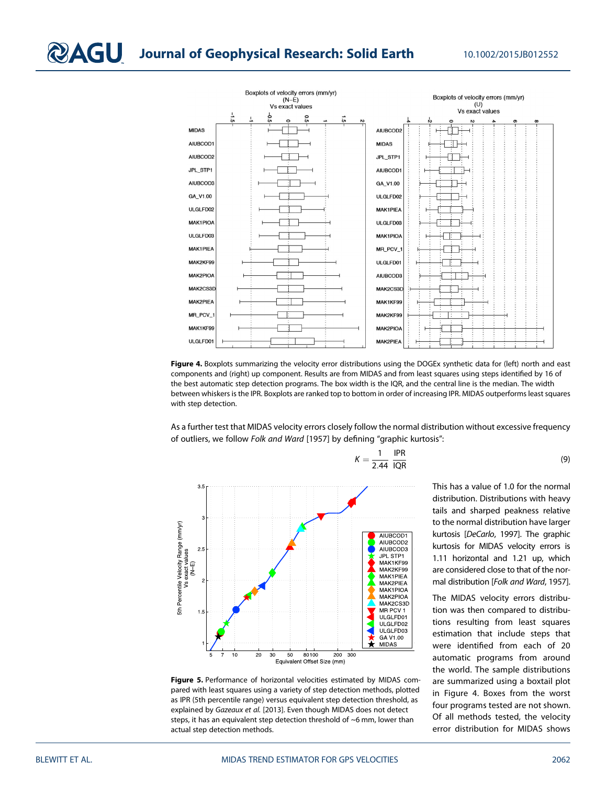

Figure 4. Boxplots summarizing the velocity error distributions using the DOGEx synthetic data for (left) north and east components and (right) up component. Results are from MIDAS and from least squares using steps identified by 16 of the best automatic step detection programs. The box width is the IQR, and the central line is the median. The width between whiskers is the IPR. Boxplots are ranked top to bottom in order of increasing IPR. MIDAS outperforms least squares with step detection.

As a further test that MIDAS velocity errors closely follow the normal distribution without excessive frequency of outliers, we follow Folk and Ward [1957] by defining "graphic kurtosis":



Figure 5. Performance of horizontal velocities estimated by MIDAS compared with least squares using a variety of step detection methods, plotted as IPR (5th percentile range) versus equivalent step detection threshold, as explained by Gazeaux et al. [2013]. Even though MIDAS does not detect steps, it has an equivalent step detection threshold of ~6 mm, lower than actual step detection methods.

This has a value of 1.0 for the normal distribution. Distributions with heavy tails and sharped peakness relative to the normal distribution have larger kurtosis [DeCarlo, 1997]. The graphic kurtosis for MIDAS velocity errors is 1.11 horizontal and 1.21 up, which are considered close to that of the normal distribution [Folk and Ward, 1957].

The MIDAS velocity errors distribution was then compared to distributions resulting from least squares estimation that include steps that were identified from each of 20 automatic programs from around the world. The sample distributions are summarized using a boxtail plot in Figure 4. Boxes from the worst four programs tested are not shown. Of all methods tested, the velocity error distribution for MIDAS shows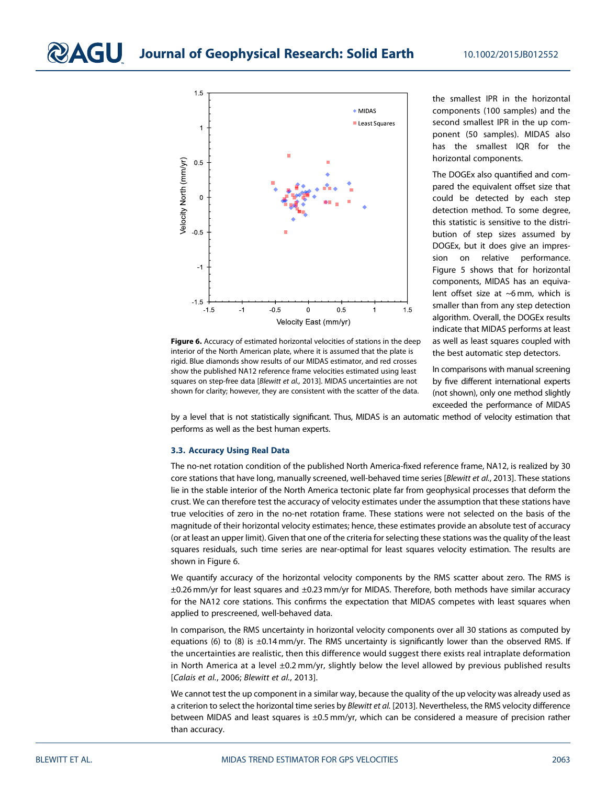

Figure 6. Accuracy of estimated horizontal velocities of stations in the deep interior of the North American plate, where it is assumed that the plate is rigid. Blue diamonds show results of our MIDAS estimator, and red crosses show the published NA12 reference frame velocities estimated using least squares on step-free data [Blewitt et al., 2013]. MIDAS uncertainties are not shown for clarity; however, they are consistent with the scatter of the data.

the smallest IPR in the horizontal components (100 samples) and the second smallest IPR in the up component (50 samples). MIDAS also has the smallest IQR for the horizontal components.

The DOGEx also quantified and compared the equivalent offset size that could be detected by each step detection method. To some degree, this statistic is sensitive to the distribution of step sizes assumed by DOGEx, but it does give an impression on relative performance. Figure 5 shows that for horizontal components, MIDAS has an equivalent offset size at ~6 mm, which is smaller than from any step detection algorithm. Overall, the DOGEx results indicate that MIDAS performs at least as well as least squares coupled with the best automatic step detectors.

In comparisons with manual screening by five different international experts (not shown), only one method slightly exceeded the performance of MIDAS

by a level that is not statistically significant. Thus, MIDAS is an automatic method of velocity estimation that performs as well as the best human experts.

#### 3.3. Accuracy Using Real Data

The no-net rotation condition of the published North America-fixed reference frame, NA12, is realized by 30 core stations that have long, manually screened, well-behaved time series [Blewitt et al., 2013]. These stations lie in the stable interior of the North America tectonic plate far from geophysical processes that deform the crust. We can therefore test the accuracy of velocity estimates under the assumption that these stations have true velocities of zero in the no-net rotation frame. These stations were not selected on the basis of the magnitude of their horizontal velocity estimates; hence, these estimates provide an absolute test of accuracy (or at least an upper limit). Given that one of the criteria for selecting these stations was the quality of the least squares residuals, such time series are near-optimal for least squares velocity estimation. The results are shown in Figure 6.

We quantify accuracy of the horizontal velocity components by the RMS scatter about zero. The RMS is ±0.26 mm/yr for least squares and ±0.23 mm/yr for MIDAS. Therefore, both methods have similar accuracy for the NA12 core stations. This confirms the expectation that MIDAS competes with least squares when applied to prescreened, well-behaved data.

In comparison, the RMS uncertainty in horizontal velocity components over all 30 stations as computed by equations (6) to (8) is  $\pm 0.14$  mm/yr. The RMS uncertainty is significantly lower than the observed RMS. If the uncertainties are realistic, then this difference would suggest there exists real intraplate deformation in North America at a level ±0.2 mm/yr, slightly below the level allowed by previous published results [Calais et al., 2006; Blewitt et al., 2013].

We cannot test the up component in a similar way, because the quality of the up velocity was already used as a criterion to select the horizontal time series by Blewitt et al. [2013]. Nevertheless, the RMS velocity difference between MIDAS and least squares is ±0.5 mm/yr, which can be considered a measure of precision rather than accuracy.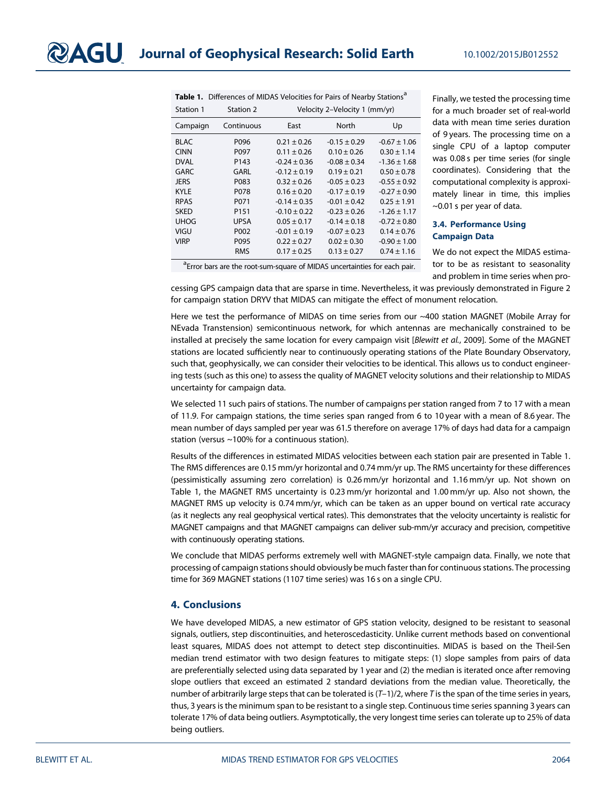| Station 1   | Station 2        | <b>TWIC</b> II DIRECTICES OF MIDITS VERSITES FOR FUILS OF FICULITY SURFICITS<br>Velocity 2-Velocity 1 (mm/yr) |                  |                  |
|-------------|------------------|---------------------------------------------------------------------------------------------------------------|------------------|------------------|
| Campaign    | Continuous       | East                                                                                                          | North            | Up               |
| <b>BLAC</b> | P096             | $0.21 \pm 0.26$                                                                                               | $-0.15 \pm 0.29$ | $-0.67 \pm 1.06$ |
| <b>CINN</b> | P097             | $0.11 \pm 0.26$                                                                                               | $0.10 \pm 0.26$  | $0.30 \pm 1.14$  |
| <b>DVAL</b> | P143             | $-0.24 \pm 0.36$                                                                                              | $-0.08 \pm 0.34$ | $-1.36 \pm 1.68$ |
| <b>GARC</b> | GARL             | $-0.12 \pm 0.19$                                                                                              | $0.19 \pm 0.21$  | $0.50 \pm 0.78$  |
| <b>JERS</b> | P083             | $0.32 \pm 0.26$                                                                                               | $-0.05 \pm 0.23$ | $-0.55 \pm 0.92$ |
| <b>KYLE</b> | P078             | $0.16 \pm 0.20$                                                                                               | $-0.17 \pm 0.19$ | $-0.27 \pm 0.90$ |
| <b>RPAS</b> | P071             | $-0.14 \pm 0.35$                                                                                              | $-0.01 \pm 0.42$ | $0.25 \pm 1.91$  |
| <b>SKED</b> | P <sub>151</sub> | $-0.10 \pm 0.22$                                                                                              | $-0.23 \pm 0.26$ | $-1.26 \pm 1.17$ |
| <b>UHOG</b> | UPSA             | $0.05 \pm 0.17$                                                                                               | $-0.14 \pm 0.18$ | $-0.72 \pm 0.80$ |
| VIGU        | P002             | $-0.01 \pm 0.19$                                                                                              | $-0.07 \pm 0.23$ | $0.14 \pm 0.76$  |
| <b>VIRP</b> | P095             | $0.22 \pm 0.27$                                                                                               | $0.02 \pm 0.30$  | $-0.90 \pm 1.00$ |
|             | <b>RMS</b>       | $0.17 \pm 0.25$                                                                                               | $0.13 \pm 0.27$  | $0.74 \pm 1.16$  |

Table 1. Differences of MIDAS Velocities for Pairs of Nearby Stations<sup>a</sup>

Finally, we tested the processing time for a much broader set of real-world data with mean time series duration of 9 years. The processing time on a single CPU of a laptop computer was 0.08 s per time series (for single coordinates). Considering that the computational complexity is approximately linear in time, this implies ~0.01 s per year of data.

#### 3.4. Performance Using Campaign Data

We do not expect the MIDAS estimator to be as resistant to seasonality and problem in time series when pro-

<sup>a</sup> Error bars are the root-sum-square of MIDAS uncertainties for each pair.

cessing GPS campaign data that are sparse in time. Nevertheless, it was previously demonstrated in Figure 2 for campaign station DRYV that MIDAS can mitigate the effect of monument relocation.

Here we test the performance of MIDAS on time series from our ~400 station MAGNET (Mobile Array for NEvada Transtension) semicontinuous network, for which antennas are mechanically constrained to be installed at precisely the same location for every campaign visit [Blewitt et al., 2009]. Some of the MAGNET stations are located sufficiently near to continuously operating stations of the Plate Boundary Observatory, such that, geophysically, we can consider their velocities to be identical. This allows us to conduct engineering tests (such as this one) to assess the quality of MAGNET velocity solutions and their relationship to MIDAS uncertainty for campaign data.

We selected 11 such pairs of stations. The number of campaigns per station ranged from 7 to 17 with a mean of 11.9. For campaign stations, the time series span ranged from 6 to 10 year with a mean of 8.6 year. The mean number of days sampled per year was 61.5 therefore on average 17% of days had data for a campaign station (versus ~100% for a continuous station).

Results of the differences in estimated MIDAS velocities between each station pair are presented in Table 1. The RMS differences are 0.15 mm/yr horizontal and 0.74 mm/yr up. The RMS uncertainty for these differences (pessimistically assuming zero correlation) is 0.26 mm/yr horizontal and 1.16 mm/yr up. Not shown on Table 1, the MAGNET RMS uncertainty is 0.23 mm/yr horizontal and 1.00 mm/yr up. Also not shown, the MAGNET RMS up velocity is 0.74 mm/yr, which can be taken as an upper bound on vertical rate accuracy (as it neglects any real geophysical vertical rates). This demonstrates that the velocity uncertainty is realistic for MAGNET campaigns and that MAGNET campaigns can deliver sub-mm/yr accuracy and precision, competitive with continuously operating stations.

We conclude that MIDAS performs extremely well with MAGNET-style campaign data. Finally, we note that processing of campaign stations should obviously be much faster than for continuous stations. The processing time for 369 MAGNET stations (1107 time series) was 16 s on a single CPU.

#### 4. Conclusions

We have developed MIDAS, a new estimator of GPS station velocity, designed to be resistant to seasonal signals, outliers, step discontinuities, and heteroscedasticity. Unlike current methods based on conventional least squares, MIDAS does not attempt to detect step discontinuities. MIDAS is based on the Theil-Sen median trend estimator with two design features to mitigate steps: (1) slope samples from pairs of data are preferentially selected using data separated by 1 year and (2) the median is iterated once after removing slope outliers that exceed an estimated 2 standard deviations from the median value. Theoretically, the number of arbitrarily large steps that can be tolerated is  $(T-1)/2$ , where T is the span of the time series in years, thus, 3 years is the minimum span to be resistant to a single step. Continuous time series spanning 3 years can tolerate 17% of data being outliers. Asymptotically, the very longest time series can tolerate up to 25% of data being outliers.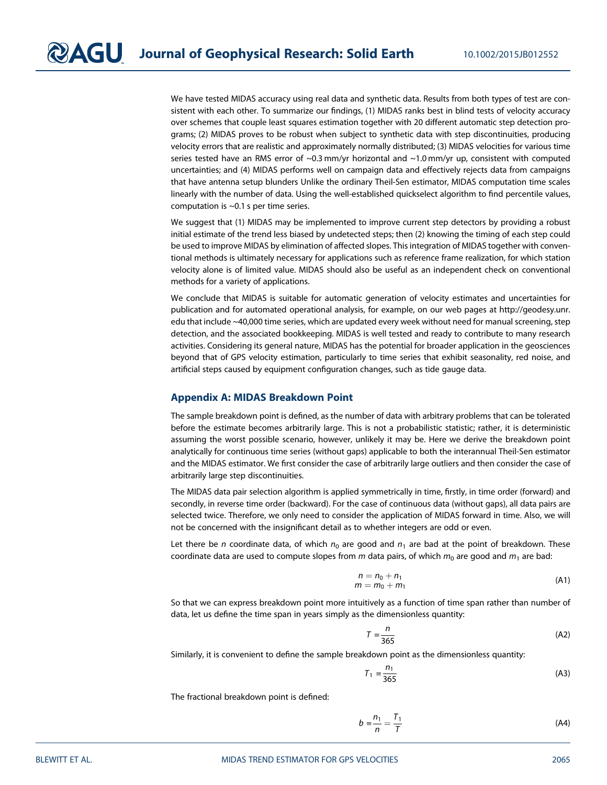We have tested MIDAS accuracy using real data and synthetic data. Results from both types of test are consistent with each other. To summarize our findings, (1) MIDAS ranks best in blind tests of velocity accuracy over schemes that couple least squares estimation together with 20 different automatic step detection programs; (2) MIDAS proves to be robust when subject to synthetic data with step discontinuities, producing velocity errors that are realistic and approximately normally distributed; (3) MIDAS velocities for various time series tested have an RMS error of ~0.3 mm/yr horizontal and ~1.0 mm/yr up, consistent with computed uncertainties; and (4) MIDAS performs well on campaign data and effectively rejects data from campaigns that have antenna setup blunders Unlike the ordinary Theil-Sen estimator, MIDAS computation time scales linearly with the number of data. Using the well-established quickselect algorithm to find percentile values, computation is ~0.1 s per time series.

We suggest that (1) MIDAS may be implemented to improve current step detectors by providing a robust initial estimate of the trend less biased by undetected steps; then (2) knowing the timing of each step could be used to improve MIDAS by elimination of affected slopes. This integration of MIDAS together with conventional methods is ultimately necessary for applications such as reference frame realization, for which station velocity alone is of limited value. MIDAS should also be useful as an independent check on conventional methods for a variety of applications.

We conclude that MIDAS is suitable for automatic generation of velocity estimates and uncertainties for publication and for automated operational analysis, for example, on our web pages at [http://geodesy.unr.](http://geodesy.unr.edu) [edu](http://geodesy.unr.edu) that include ~40,000 time series, which are updated every week without need for manual screening, step detection, and the associated bookkeeping. MIDAS is well tested and ready to contribute to many research activities. Considering its general nature, MIDAS has the potential for broader application in the geosciences beyond that of GPS velocity estimation, particularly to time series that exhibit seasonality, red noise, and artificial steps caused by equipment configuration changes, such as tide gauge data.

#### Appendix A: MIDAS Breakdown Point

The sample breakdown point is defined, as the number of data with arbitrary problems that can be tolerated before the estimate becomes arbitrarily large. This is not a probabilistic statistic; rather, it is deterministic assuming the worst possible scenario, however, unlikely it may be. Here we derive the breakdown point analytically for continuous time series (without gaps) applicable to both the interannual Theil-Sen estimator and the MIDAS estimator. We first consider the case of arbitrarily large outliers and then consider the case of arbitrarily large step discontinuities.

The MIDAS data pair selection algorithm is applied symmetrically in time, firstly, in time order (forward) and secondly, in reverse time order (backward). For the case of continuous data (without gaps), all data pairs are selected twice. Therefore, we only need to consider the application of MIDAS forward in time. Also, we will not be concerned with the insignificant detail as to whether integers are odd or even.

Let there be n coordinate data, of which  $n_0$  are good and  $n_1$  are bad at the point of breakdown. These coordinate data are used to compute slopes from m data pairs, of which  $m_0$  are good and  $m_1$  are bad:

$$
n = n_0 + n_1 \nm = m_0 + m_1
$$
\n(A1)

So that we can express breakdown point more intuitively as a function of time span rather than number of data, let us define the time span in years simply as the dimensionless quantity:

$$
T \equiv \frac{n}{365} \tag{A2}
$$

Similarly, it is convenient to define the sample breakdown point as the dimensionless quantity:

$$
T_1 \equiv \frac{n_1}{365} \tag{A3}
$$

The fractional breakdown point is defined:

$$
b = \frac{n_1}{n} = \frac{T_1}{T}
$$
 (A4)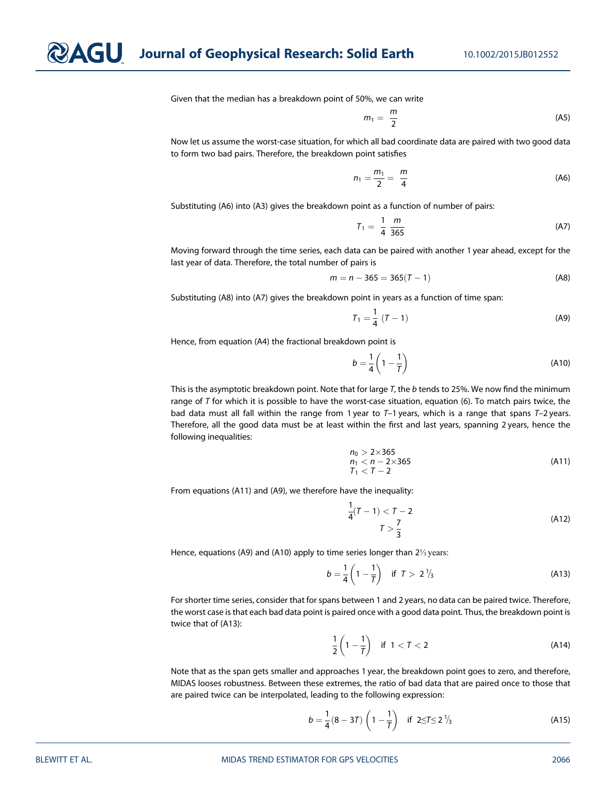Given that the median has a breakdown point of 50%, we can write

$$
m_1 = \frac{m}{2} \tag{A5}
$$

Now let us assume the worst-case situation, for which all bad coordinate data are paired with two good data to form two bad pairs. Therefore, the breakdown point satisfies

$$
n_1 = \frac{m_1}{2} = \frac{m}{4}
$$
 (A6)

Substituting (A6) into (A3) gives the breakdown point as a function of number of pairs:

$$
T_1 = \frac{1}{4} \frac{m}{365}
$$
 (A7)

Moving forward through the time series, each data can be paired with another 1 year ahead, except for the last year of data. Therefore, the total number of pairs is

$$
m = n - 365 = 365(T - 1)
$$
 (A8)

Substituting (A8) into (A7) gives the breakdown point in years as a function of time span:

$$
T_1 = \frac{1}{4} (T - 1)
$$
 (A9)

Hence, from equation (A4) the fractional breakdown point is

$$
b = \frac{1}{4} \left( 1 - \frac{1}{T} \right) \tag{A10}
$$

This is the asymptotic breakdown point. Note that for large  $T$ , the b tends to 25%. We now find the minimum range of T for which it is possible to have the worst-case situation, equation (6). To match pairs twice, the bad data must all fall within the range from 1 year to T-1 years, which is a range that spans T-2 years. Therefore, all the good data must be at least within the first and last years, spanning 2 years, hence the following inequalities:

$$
n_0 > 2 \times 365 \n n_1 < n - 2 \times 365 \n T_1 < T - 2
$$
\n(A11)

From equations (A11) and (A9), we therefore have the inequality:

$$
\frac{1}{4}(T-1) < T-2
$$
\n
$$
T > \frac{7}{3} \tag{A12}
$$

Hence, equations (A9) and (A10) apply to time series longer than 2⅓ years:

$$
b = \frac{1}{4} \left( 1 - \frac{1}{T} \right) \quad \text{if } T > 2 \frac{1}{3} \tag{A13}
$$

For shorter time series, consider that for spans between 1 and 2 years, no data can be paired twice. Therefore, the worst case is that each bad data point is paired once with a good data point. Thus, the breakdown point is twice that of (A13):

$$
\frac{1}{2}\left(1-\frac{1}{T}\right) \quad \text{if} \quad 1 < T < 2 \tag{A14}
$$

Note that as the span gets smaller and approaches 1 year, the breakdown point goes to zero, and therefore, MIDAS looses robustness. Between these extremes, the ratio of bad data that are paired once to those that are paired twice can be interpolated, leading to the following expression:

$$
b = \frac{1}{4}(8 - 3T)\left(1 - \frac{1}{T}\right) \quad \text{if } 2 \le T \le 2\frac{1}{3} \tag{A15}
$$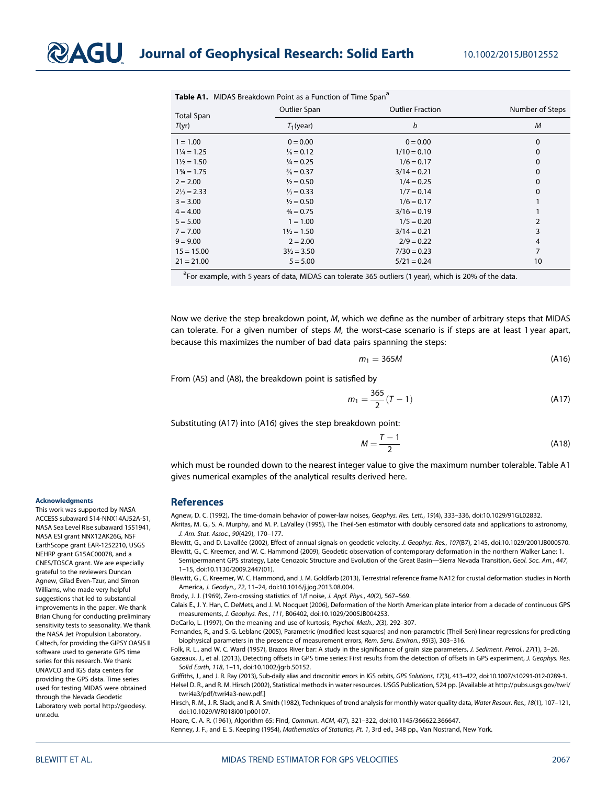| <b>Total Span</b>     | Outlier Span          | <b>Outlier Fraction</b> | Number of Steps |
|-----------------------|-----------------------|-------------------------|-----------------|
| T(yr)                 | $T_1$ (year)          | b                       | M               |
| $1 = 1.00$            | $0 = 0.00$            | $0 = 0.00$              | 0               |
| $1\frac{1}{4} = 1.25$ | $\frac{1}{8}$ = 0.12  | $1/10 = 0.10$           | $\mathbf 0$     |
| $1\frac{1}{2} = 1.50$ | $\frac{1}{4} = 0.25$  | $1/6 = 0.17$            | 0               |
| $1\frac{3}{4} = 1.75$ | $\frac{3}{8}$ = 0.37  | $3/14 = 0.21$           | $\mathbf 0$     |
| $2 = 2.00$            | $\frac{1}{2} = 0.50$  | $1/4 = 0.25$            | 0               |
| $2\frac{1}{3}$ = 2.33 | $\frac{1}{3} = 0.33$  | $1/7 = 0.14$            | $\mathbf 0$     |
| $3 = 3.00$            | $\frac{1}{2} = 0.50$  | $1/6 = 0.17$            |                 |
| $4 = 4.00$            | $\frac{3}{4} = 0.75$  | $3/16 = 0.19$           |                 |
| $5 = 5.00$            | $1 = 1.00$            | $1/5 = 0.20$            | $\overline{2}$  |
| $7 = 7.00$            | $1\frac{1}{2} = 1.50$ | $3/14 = 0.21$           | 3               |
| $9 = 9.00$            | $2 = 2.00$            | $2/9 = 0.22$            | $\overline{4}$  |
| $15 = 15.00$          | $3\frac{1}{2} = 3.50$ | $7/30 = 0.23$           | $\overline{7}$  |
| $21 = 21.00$          | $5 = 5.00$            | $5/21 = 0.24$           | 10              |

Table A1. MIDAS Breakdown Point as a Function of Time Span<sup>a</sup>

<sup>a</sup>For example, with 5 years of data, MIDAS can tolerate 365 outliers (1 year), which is 20% of the data.

Now we derive the step breakdown point, M, which we define as the number of arbitrary steps that MIDAS can tolerate. For a given number of steps M, the worst-case scenario is if steps are at least 1 year apart, because this maximizes the number of bad data pairs spanning the steps:

$$
m_1 = 365M \tag{A16}
$$

From (A5) and (A8), the breakdown point is satisfied by

$$
m_1 = \frac{365}{2}(T - 1) \tag{A17}
$$

Substituting (A17) into (A16) gives the step breakdown point:

$$
M = \frac{T - 1}{2} \tag{A18}
$$

which must be rounded down to the nearest integer value to give the maximum number tolerable. Table A1 gives numerical examples of the analytical results derived here.

#### References

Agnew, D. C. (1992), The time-domain behavior of power-law noises, Geophys. Res. Lett., 19(4), 333–336, doi[:10.1029/91GL02832](http://dx.doi.org/10.1029/91GL02832).

Akritas, M. G., S. A. Murphy, and M. P. LaValley (1995), The Theil-Sen estimator with doubly censored data and applications to astronomy, J. Am. Stat. Assoc., 90(429), 170–177.

Blewitt, G., and D. Lavallée (2002), Effect of annual signals on geodetic velocity, J. Geophys. Res., 107(B7), 2145, doi[:10.1029/2001JB000570.](http://dx.doi.org/10.1029/2001JB000570) Blewitt, G., C. Kreemer, and W. C. Hammond (2009), Geodetic observation of contemporary deformation in the northern Walker Lane: 1.

- Semipermanent GPS strategy, Late Cenozoic Structure and Evolution of the Great Basin-Sierra Nevada Transition, Geol. Soc. Am., 447, 1–15, doi:[10.1130/2009.2447\(01\).](http://dx.doi.org/10.1130/2009.2447(01))
- Blewitt, G., C. Kreemer, W. C. Hammond, and J. M. Goldfarb (2013), Terrestrial reference frame NA12 for crustal deformation studies in North America, J. Geodyn., 72, 11–24, doi:[10.1016/j.jog.2013.08.004.](http://dx.doi.org/10.1016/j.jog.2013.08.004)

Brody, J. J. (1969), Zero-crossing statistics of 1/f noise, J. Appl. Phys., 40(2), 567–569.

Calais E., J. Y. Han, C. DeMets, and J. M. Nocquet (2006), Deformation of the North American plate interior from a decade of continuous GPS measurements, J. Geophys. Res., 111, B06402, doi:[10.1029/2005JB004253](http://dx.doi.org/10.1029/2005JB004253).

DeCarlo, L. (1997), On the meaning and use of kurtosis, Psychol. Meth., 2(3), 292–307.

Fernandes, R., and S. G. Leblanc (2005), Parametric (modified least squares) and non-parametric (Theil-Sen) linear regressions for predicting biophysical parameters in the presence of measurement errors, Rem. Sens. Environ., 95(3), 303–316.

Folk, R. L., and W. C. Ward (1957), Brazos River bar: A study in the significance of grain size parameters, J. Sediment. Petrol., 27(1), 3-26.

Gazeaux, J., et al. (2013), Detecting offsets in GPS time series: First results from the detection of offsets in GPS experiment, J. Geophys. Res. Solid Earth, 118, 1–11, doi[:10.1002/jgrb.50152](http://dx.doi.org/10.1002/jgrb.50152).

Griffiths, J., and J. R. Ray (2013), Sub-daily alias and draconitic errors in IGS orbits, GPS Solutions, 17(3), 413-422, doi:[10.1007/s10291-012-0289-1.](http://dx.doi.org/10.1007/s10291-012-0289-1) Helsel D. R., and R. M. Hirsch (2002), Statistical methods in water resources. USGS Publication, 524 pp. [Available at [http://pubs.usgs.gov/twri/](http://pubs.usgs.gov/twri/twri4a3/pdf/twri4a3-new.pdf) [twri4a3/pdf/twri4a3-new.pdf.](http://pubs.usgs.gov/twri/twri4a3/pdf/twri4a3-new.pdf)]

Hirsch, R. M., J. R. Slack, and R. A. Smith (1982), Techniques of trend analysis for monthly water quality data, Water Resour. Res., 18(1), 107–121, doi[:10.1029/WR018i001p00107.](http://dx.doi.org/10.1029/WR018i001p00107)

Hoare, C. A. R. (1961), Algorithm 65: Find, Commun. ACM, 4(7), 321–322, doi:[10.1145/366622.366647](http://dx.doi.org/10.1145/366622.366647).

Kenney, J. F., and E. S. Keeping (1954), Mathematics of Statistics, Pt. 1, 3rd ed., 348 pp., Van Nostrand, New York.

#### Acknowledgments

This work was supported by NASA ACCESS subaward S14-NNX14AJ52A-S1, NASA Sea Level Rise subaward 1551941, NASA ESI grant NNX12AK26G, NSF EarthScope grant EAR-1252210, USGS NEHRP grant G15AC00078, and a CNES/TOSCA grant. We are especially grateful to the reviewers Duncan Agnew, Gilad Even-Tzur, and Simon Williams, who made very helpful suggestions that led to substantial improvements in the paper. We thank Brian Chung for conducting preliminary sensitivity tests to seasonality. We thank the NASA Jet Propulsion Laboratory, Caltech, for providing the GIPSY OASIS II software used to generate GPS time series for this research. We thank UNAVCO and IGS data centers for providing the GPS data. Time series used for testing MIDAS were obtained through the Nevada Geodetic Laboratory web portal [http://geodesy.](http://geodesy.unr.edu) [unr.edu.](http://geodesy.unr.edu)